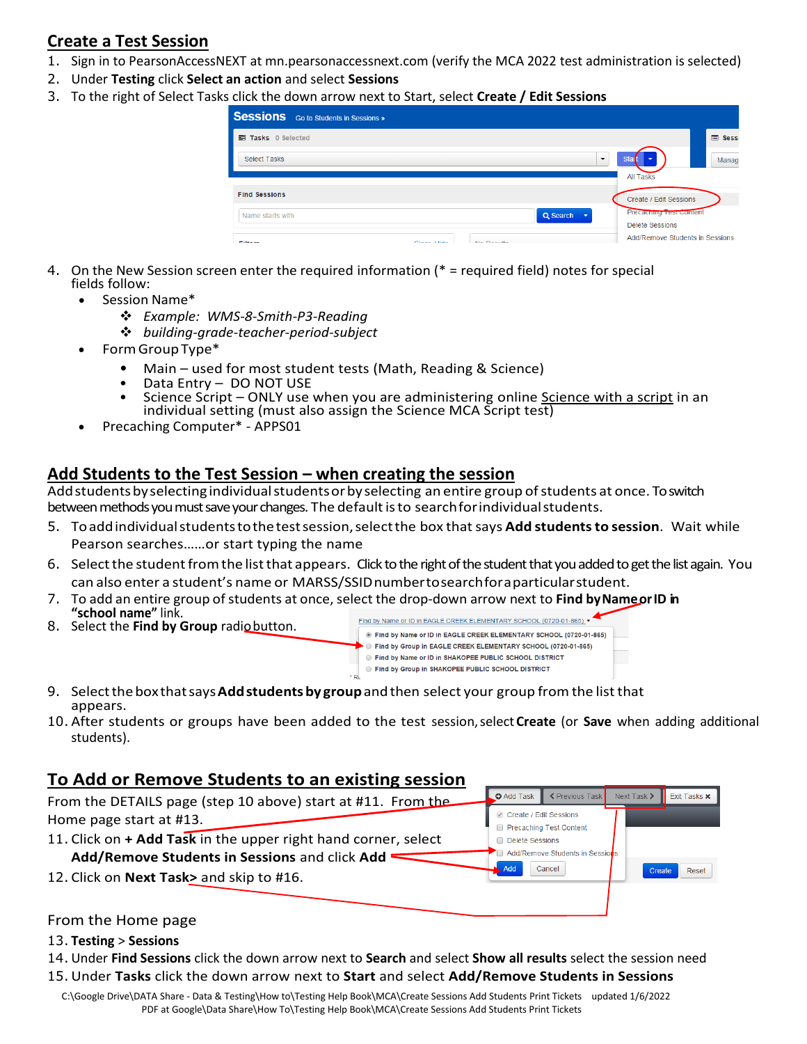# **Create a Test Session**

- 1. Sign in to PearsonAccessNEXT at mn.pearsonaccessnext.com (verify the MCA 2022 test administration is selected)
- 2. Under **Testing** click **Select an action** and select **Sessions**
- 3. To the right of Select Tasks click the down arrow next to Start, select **Create / Edit Sessions**

| <b>Sessions</b> Go to Students in Sessions »            |                                 |
|---------------------------------------------------------|---------------------------------|
| <b>■ Tasks</b> 0 Selected                               | <b>Sessi</b>                    |
| $\overline{\phantom{0}}$<br><b>Select Tasks</b>         | <b>Star</b><br>Manage           |
|                                                         | <b>All Tasks</b>                |
| <b>Find Sessions</b>                                    | Create / Edit Sessions          |
| Q Search<br>Name starts with                            | <b>Precacting Test Content</b>  |
|                                                         | <b>Delete Sessions</b>          |
| Close Lida<br><b>Alle Production</b><br><b>PERSONAL</b> | Add/Remove Students in Sessions |

- 4. On the New Session screen enter the required information (\* = required field) notes for special fields follow:
	- Session Name\*
		- ❖ *Example: WMS-8-Smith-P3-Reading*
		- ❖ *building-grade-teacher-period-subject*
	- FormGroupType\*
		- Main used for most student tests (Math, Reading & Science)
		- Data Entry DO NOT USE
		- Science Script ONLY use when you are administering online Science with a script in an individual setting (must also assign the Science MCA Script test)
	- Precaching Computer\* APPS01

## **Add Students to the Test Session – when creating the session**

Add students by selecting individual students or by selecting an entire group of students at once. To switch between methods you must save your changes. The default is to search for individual students.

- 5. Toaddindividualstudentstothetestsession,selectthe box thatsays **Add studentsto session**. Wait while Pearson searches……or start typing the name
- 6. Select the student from the list that appears. Click to the right of the student that you added to get the list again. You can also enter a student's name or MARSS/SSIDnumbertosearchforaparticularstudent.
- 7. To add an entire group of students at once, select the drop-down arrow next to **Find by Name or ID** in **"school name"** link.
- 8. Select the **Find by Group** radiobutton.



9. Selectthebox thatsays**Addstudentsby group**andthen select your group from the list that appears.

۰ę,

10. After students or groups have been added to the test session,select **Create** (or **Save** when adding additional students).

## **To Add or Remove Students to an existing session**

| From the DETAILS page (step 10 above) start at #11. From the   | $\bullet$ Add Task                                                   | K Previous Task                 | Next Task $\blacktriangleright$ | Exit Tasks <b>x</b> |
|----------------------------------------------------------------|----------------------------------------------------------------------|---------------------------------|---------------------------------|---------------------|
| Home page start at #13.                                        | Create / Edit Sessions<br>Precaching Test Content<br>Delete Sessions |                                 |                                 |                     |
| 11. Click on + Add Task in the upper right hand corner, select |                                                                      |                                 |                                 |                     |
| Add/Remove Students in Sessions and click Add                  |                                                                      | Add/Remove Students in Sessions |                                 |                     |
| 12. Click on Next Task> and skip to #16.                       | Add                                                                  | Cancel                          | Create                          | Reset               |
|                                                                |                                                                      |                                 |                                 |                     |

### From the Home page

#### 13. **Testing** > **Sessions**

- 14. Under **Find Sessions** click the down arrow next to **Search** and select **Show all results** select the session need
- 15. Under **Tasks** click the down arrow next to **Start** and select **Add/Remove Students in Sessions**